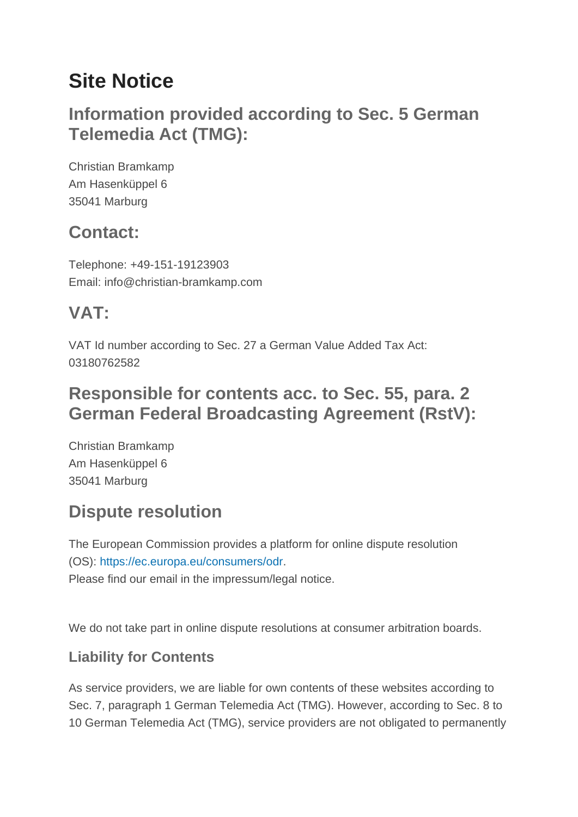# **Site Notice**

# **Information provided according to Sec. 5 German Telemedia Act (TMG):**

Christian Bramkamp Am Hasenküppel 6 35041 Marburg

# **Contact:**

Telephone: +49-151-19123903 Email: info@christian-bramkamp.com

# **VAT:**

VAT Id number according to Sec. 27 a German Value Added Tax Act: 03180762582

## **Responsible for contents acc. to Sec. 55, para. 2 German Federal Broadcasting Agreement (RstV):**

Christian Bramkamp Am Hasenküppel 6 35041 Marburg

# **Dispute resolution**

The European Commission provides a platform for online dispute resolution (OS): https://ec.europa.eu/consumers/odr. Please find our email in the impressum/legal notice.

We do not take part in online dispute resolutions at consumer arbitration boards.

### **Liability for Contents**

As service providers, we are liable for own contents of these websites according to Sec. 7, paragraph 1 German Telemedia Act (TMG). However, according to Sec. 8 to 10 German Telemedia Act (TMG), service providers are not obligated to permanently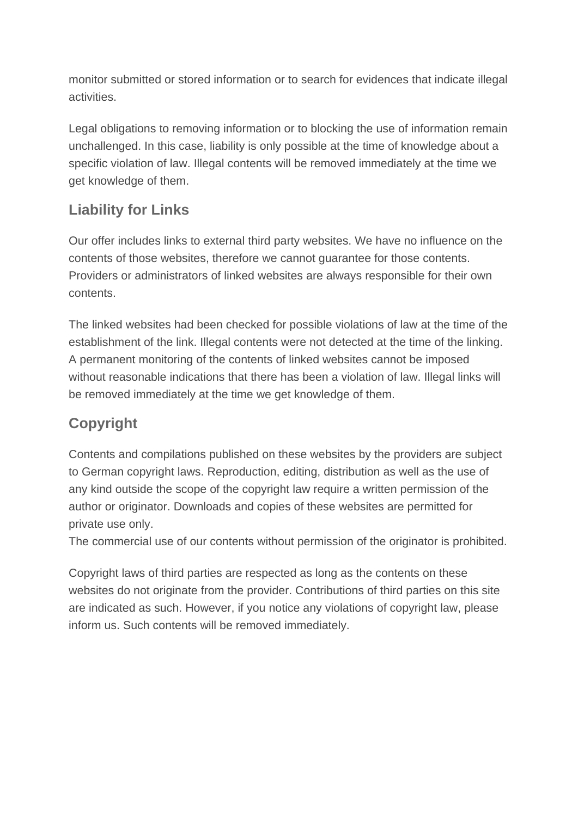monitor submitted or stored information or to search for evidences that indicate illegal activities.

Legal obligations to removing information or to blocking the use of information remain unchallenged. In this case, liability is only possible at the time of knowledge about a specific violation of law. Illegal contents will be removed immediately at the time we get knowledge of them.

### **Liability for Links**

Our offer includes links to external third party websites. We have no influence on the contents of those websites, therefore we cannot guarantee for those contents. Providers or administrators of linked websites are always responsible for their own contents.

The linked websites had been checked for possible violations of law at the time of the establishment of the link. Illegal contents were not detected at the time of the linking. A permanent monitoring of the contents of linked websites cannot be imposed without reasonable indications that there has been a violation of law. Illegal links will be removed immediately at the time we get knowledge of them.

### **Copyright**

Contents and compilations published on these websites by the providers are subject to German copyright laws. Reproduction, editing, distribution as well as the use of any kind outside the scope of the copyright law require a written permission of the author or originator. Downloads and copies of these websites are permitted for private use only.

The commercial use of our contents without permission of the originator is prohibited.

Copyright laws of third parties are respected as long as the contents on these websites do not originate from the provider. Contributions of third parties on this site are indicated as such. However, if you notice any violations of copyright law, please inform us. Such contents will be removed immediately.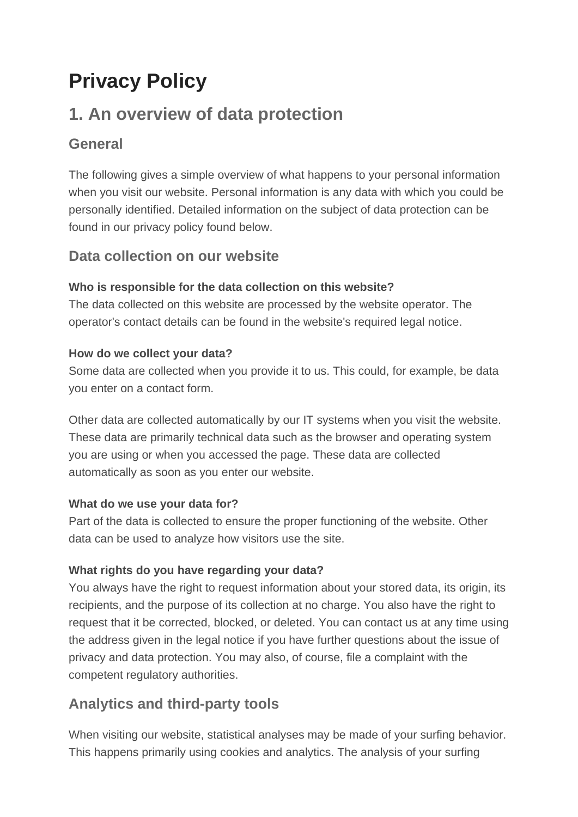# **Privacy Policy**

# **1. An overview of data protection**

#### **General**

The following gives a simple overview of what happens to your personal information when you visit our website. Personal information is any data with which you could be personally identified. Detailed information on the subject of data protection can be found in our privacy policy found below.

#### **Data collection on our website**

#### **Who is responsible for the data collection on this website?**

The data collected on this website are processed by the website operator. The operator's contact details can be found in the website's required legal notice.

#### **How do we collect your data?**

Some data are collected when you provide it to us. This could, for example, be data you enter on a contact form.

Other data are collected automatically by our IT systems when you visit the website. These data are primarily technical data such as the browser and operating system you are using or when you accessed the page. These data are collected automatically as soon as you enter our website.

#### **What do we use your data for?**

Part of the data is collected to ensure the proper functioning of the website. Other data can be used to analyze how visitors use the site.

#### **What rights do you have regarding your data?**

You always have the right to request information about your stored data, its origin, its recipients, and the purpose of its collection at no charge. You also have the right to request that it be corrected, blocked, or deleted. You can contact us at any time using the address given in the legal notice if you have further questions about the issue of privacy and data protection. You may also, of course, file a complaint with the competent regulatory authorities.

### **Analytics and third-party tools**

When visiting our website, statistical analyses may be made of your surfing behavior. This happens primarily using cookies and analytics. The analysis of your surfing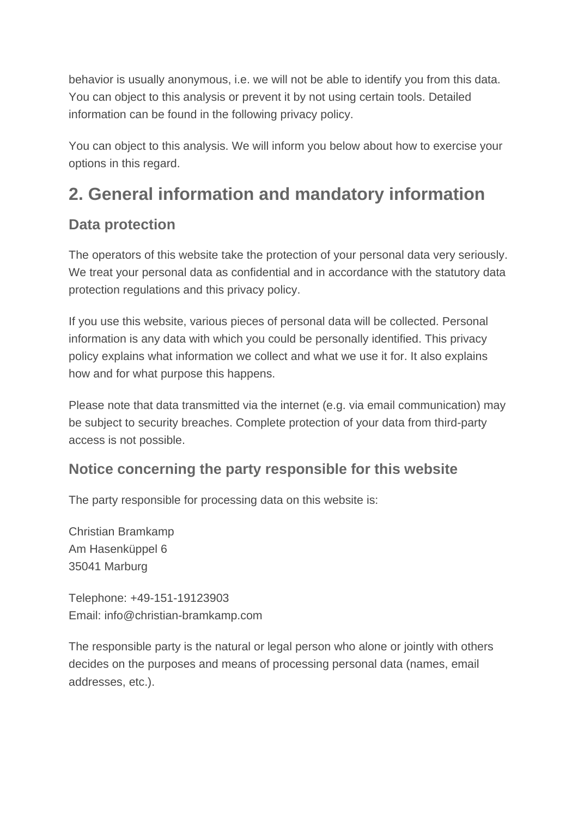behavior is usually anonymous, i.e. we will not be able to identify you from this data. You can object to this analysis or prevent it by not using certain tools. Detailed information can be found in the following privacy policy.

You can object to this analysis. We will inform you below about how to exercise your options in this regard.

# **2. General information and mandatory information**

#### **Data protection**

The operators of this website take the protection of your personal data very seriously. We treat your personal data as confidential and in accordance with the statutory data protection regulations and this privacy policy.

If you use this website, various pieces of personal data will be collected. Personal information is any data with which you could be personally identified. This privacy policy explains what information we collect and what we use it for. It also explains how and for what purpose this happens.

Please note that data transmitted via the internet (e.g. via email communication) may be subject to security breaches. Complete protection of your data from third-party access is not possible.

#### **Notice concerning the party responsible for this website**

The party responsible for processing data on this website is:

Christian Bramkamp Am Hasenküppel 6 35041 Marburg

Telephone: +49-151-19123903 Email: info@christian-bramkamp.com

The responsible party is the natural or legal person who alone or jointly with others decides on the purposes and means of processing personal data (names, email addresses, etc.).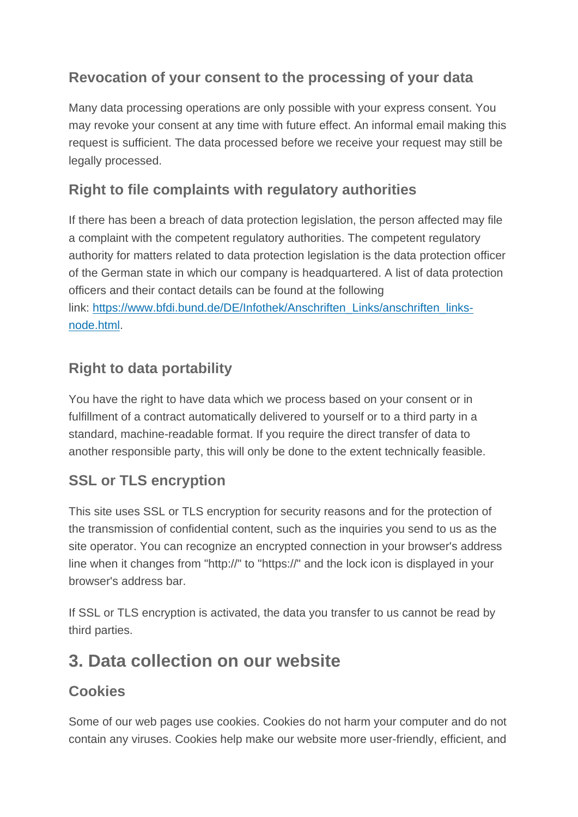### **Revocation of your consent to the processing of your data**

Many data processing operations are only possible with your express consent. You may revoke your consent at any time with future effect. An informal email making this request is sufficient. The data processed before we receive your request may still be legally processed.

### **Right to file complaints with regulatory authorities**

If there has been a breach of data protection legislation, the person affected may file a complaint with the competent regulatory authorities. The competent regulatory authority for matters related to data protection legislation is the data protection officer of the German state in which our company is headquartered. A list of data protection officers and their contact details can be found at the following link: https://www.bfdi.bund.de/DE/Infothek/Anschriften\_Links/anschriften\_linksnode.html.

### **Right to data portability**

You have the right to have data which we process based on your consent or in fulfillment of a contract automatically delivered to yourself or to a third party in a standard, machine-readable format. If you require the direct transfer of data to another responsible party, this will only be done to the extent technically feasible.

### **SSL or TLS encryption**

This site uses SSL or TLS encryption for security reasons and for the protection of the transmission of confidential content, such as the inquiries you send to us as the site operator. You can recognize an encrypted connection in your browser's address line when it changes from "http://" to "https://" and the lock icon is displayed in your browser's address bar.

If SSL or TLS encryption is activated, the data you transfer to us cannot be read by third parties.

# **3. Data collection on our website**

### **Cookies**

Some of our web pages use cookies. Cookies do not harm your computer and do not contain any viruses. Cookies help make our website more user-friendly, efficient, and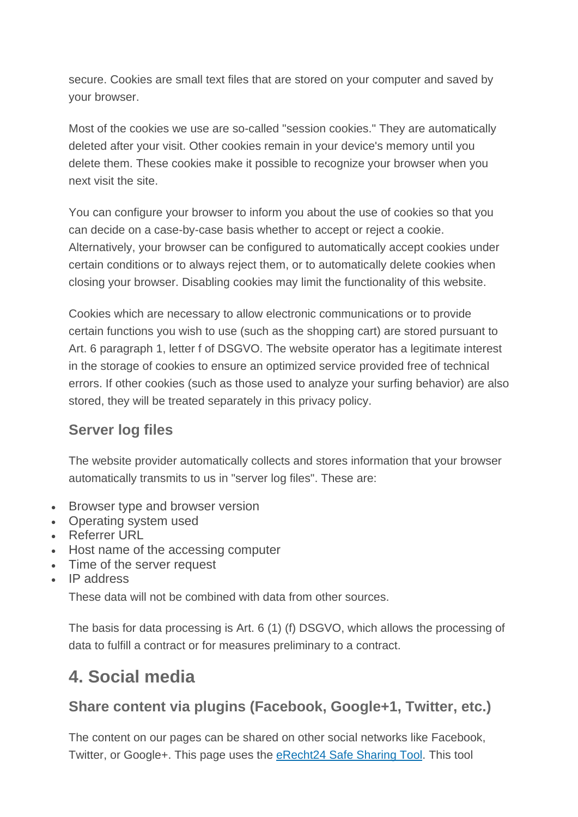secure. Cookies are small text files that are stored on your computer and saved by your browser.

Most of the cookies we use are so-called "session cookies." They are automatically deleted after your visit. Other cookies remain in your device's memory until you delete them. These cookies make it possible to recognize your browser when you next visit the site.

You can configure your browser to inform you about the use of cookies so that you can decide on a case-by-case basis whether to accept or reject a cookie. Alternatively, your browser can be configured to automatically accept cookies under certain conditions or to always reject them, or to automatically delete cookies when closing your browser. Disabling cookies may limit the functionality of this website.

Cookies which are necessary to allow electronic communications or to provide certain functions you wish to use (such as the shopping cart) are stored pursuant to Art. 6 paragraph 1, letter f of DSGVO. The website operator has a legitimate interest in the storage of cookies to ensure an optimized service provided free of technical errors. If other cookies (such as those used to analyze your surfing behavior) are also stored, they will be treated separately in this privacy policy.

#### **Server log files**

The website provider automatically collects and stores information that your browser automatically transmits to us in "server log files". These are:

- Browser type and browser version
- Operating system used
- Referrer URL
- Host name of the accessing computer
- Time of the server request
- IP address

These data will not be combined with data from other sources.

The basis for data processing is Art. 6 (1) (f) DSGVO, which allows the processing of data to fulfill a contract or for measures preliminary to a contract.

# **4. Social media**

#### **Share content via plugins (Facebook, Google+1, Twitter, etc.)**

The content on our pages can be shared on other social networks like Facebook, Twitter, or Google+. This page uses the eRecht24 Safe Sharing Tool. This tool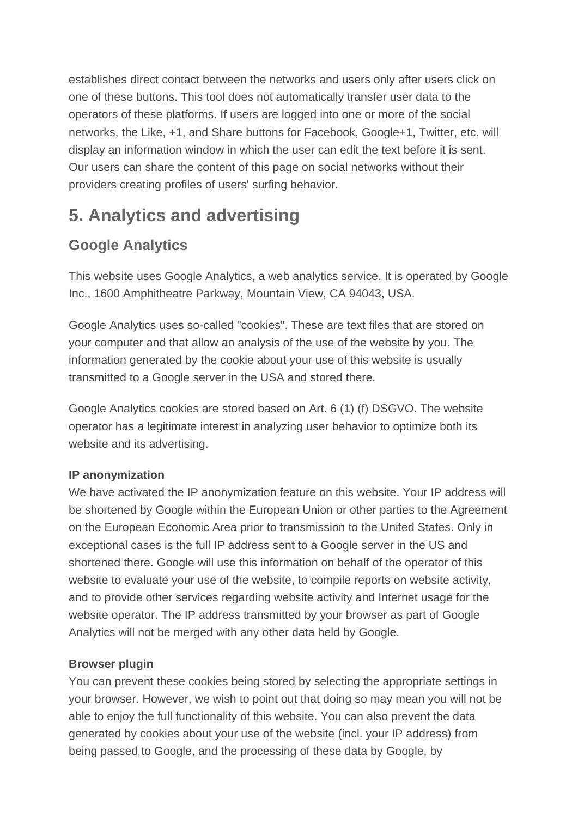establishes direct contact between the networks and users only after users click on one of these buttons. This tool does not automatically transfer user data to the operators of these platforms. If users are logged into one or more of the social networks, the Like, +1, and Share buttons for Facebook, Google+1, Twitter, etc. will display an information window in which the user can edit the text before it is sent. Our users can share the content of this page on social networks without their providers creating profiles of users' surfing behavior.

# **5. Analytics and advertising**

### **Google Analytics**

This website uses Google Analytics, a web analytics service. It is operated by Google Inc., 1600 Amphitheatre Parkway, Mountain View, CA 94043, USA.

Google Analytics uses so-called "cookies". These are text files that are stored on your computer and that allow an analysis of the use of the website by you. The information generated by the cookie about your use of this website is usually transmitted to a Google server in the USA and stored there.

Google Analytics cookies are stored based on Art. 6 (1) (f) DSGVO. The website operator has a legitimate interest in analyzing user behavior to optimize both its website and its advertising.

#### **IP anonymization**

We have activated the IP anonymization feature on this website. Your IP address will be shortened by Google within the European Union or other parties to the Agreement on the European Economic Area prior to transmission to the United States. Only in exceptional cases is the full IP address sent to a Google server in the US and shortened there. Google will use this information on behalf of the operator of this website to evaluate your use of the website, to compile reports on website activity, and to provide other services regarding website activity and Internet usage for the website operator. The IP address transmitted by your browser as part of Google Analytics will not be merged with any other data held by Google.

#### **Browser plugin**

You can prevent these cookies being stored by selecting the appropriate settings in your browser. However, we wish to point out that doing so may mean you will not be able to enjoy the full functionality of this website. You can also prevent the data generated by cookies about your use of the website (incl. your IP address) from being passed to Google, and the processing of these data by Google, by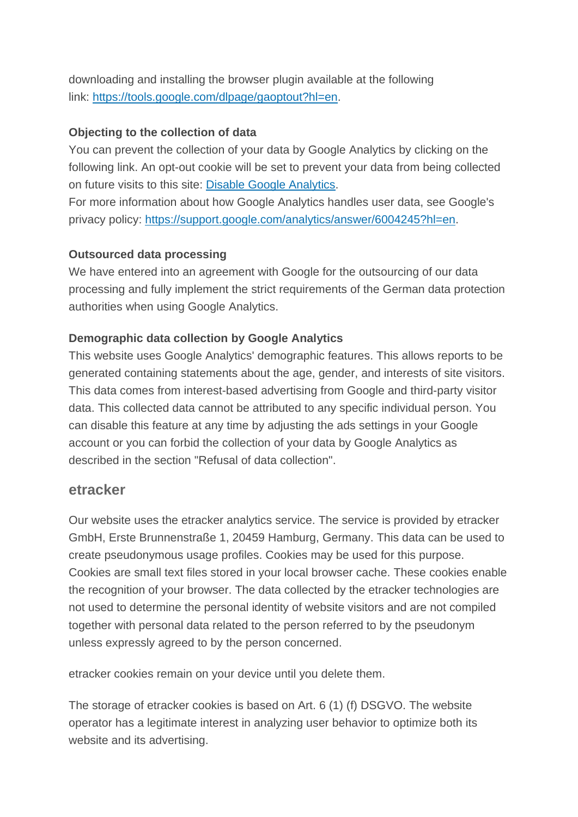downloading and installing the browser plugin available at the following link: https://tools.google.com/dlpage/gaoptout?hl=en.

#### **Objecting to the collection of data**

You can prevent the collection of your data by Google Analytics by clicking on the following link. An opt-out cookie will be set to prevent your data from being collected on future visits to this site: Disable Google Analytics.

For more information about how Google Analytics handles user data, see Google's privacy policy: https://support.google.com/analytics/answer/6004245?hl=en.

#### **Outsourced data processing**

We have entered into an agreement with Google for the outsourcing of our data processing and fully implement the strict requirements of the German data protection authorities when using Google Analytics.

#### **Demographic data collection by Google Analytics**

This website uses Google Analytics' demographic features. This allows reports to be generated containing statements about the age, gender, and interests of site visitors. This data comes from interest-based advertising from Google and third-party visitor data. This collected data cannot be attributed to any specific individual person. You can disable this feature at any time by adjusting the ads settings in your Google account or you can forbid the collection of your data by Google Analytics as described in the section "Refusal of data collection".

#### **etracker**

Our website uses the etracker analytics service. The service is provided by etracker GmbH, Erste Brunnenstraße 1, 20459 Hamburg, Germany. This data can be used to create pseudonymous usage profiles. Cookies may be used for this purpose. Cookies are small text files stored in your local browser cache. These cookies enable the recognition of your browser. The data collected by the etracker technologies are not used to determine the personal identity of website visitors and are not compiled together with personal data related to the person referred to by the pseudonym unless expressly agreed to by the person concerned.

etracker cookies remain on your device until you delete them.

The storage of etracker cookies is based on Art. 6 (1) (f) DSGVO. The website operator has a legitimate interest in analyzing user behavior to optimize both its website and its advertising.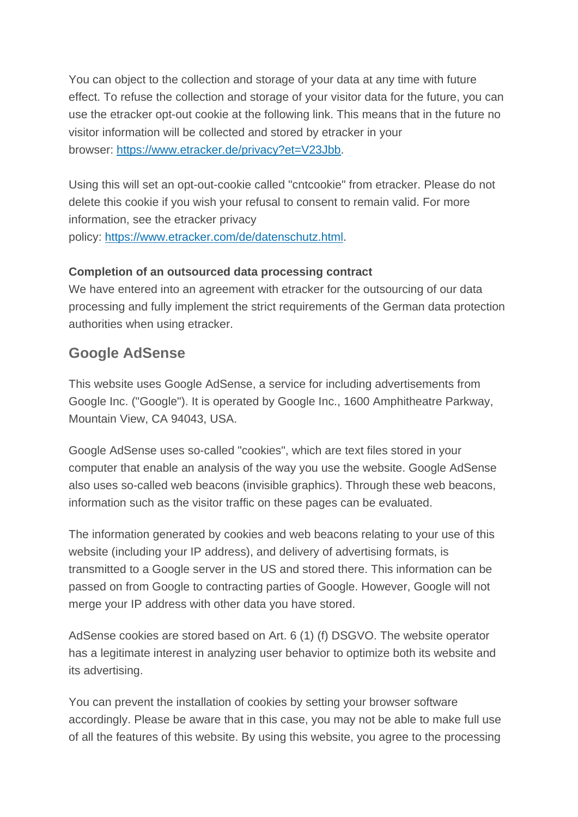You can object to the collection and storage of your data at any time with future effect. To refuse the collection and storage of your visitor data for the future, you can use the etracker opt-out cookie at the following link. This means that in the future no visitor information will be collected and stored by etracker in your browser: https://www.etracker.de/privacy?et=V23Jbb.

Using this will set an opt-out-cookie called "cntcookie" from etracker. Please do not delete this cookie if you wish your refusal to consent to remain valid. For more information, see the etracker privacy policy: https://www.etracker.com/de/datenschutz.html.

#### **Completion of an outsourced data processing contract**

We have entered into an agreement with etracker for the outsourcing of our data processing and fully implement the strict requirements of the German data protection authorities when using etracker.

#### **Google AdSense**

This website uses Google AdSense, a service for including advertisements from Google Inc. ("Google"). It is operated by Google Inc., 1600 Amphitheatre Parkway, Mountain View, CA 94043, USA.

Google AdSense uses so-called "cookies", which are text files stored in your computer that enable an analysis of the way you use the website. Google AdSense also uses so-called web beacons (invisible graphics). Through these web beacons, information such as the visitor traffic on these pages can be evaluated.

The information generated by cookies and web beacons relating to your use of this website (including your IP address), and delivery of advertising formats, is transmitted to a Google server in the US and stored there. This information can be passed on from Google to contracting parties of Google. However, Google will not merge your IP address with other data you have stored.

AdSense cookies are stored based on Art. 6 (1) (f) DSGVO. The website operator has a legitimate interest in analyzing user behavior to optimize both its website and its advertising.

You can prevent the installation of cookies by setting your browser software accordingly. Please be aware that in this case, you may not be able to make full use of all the features of this website. By using this website, you agree to the processing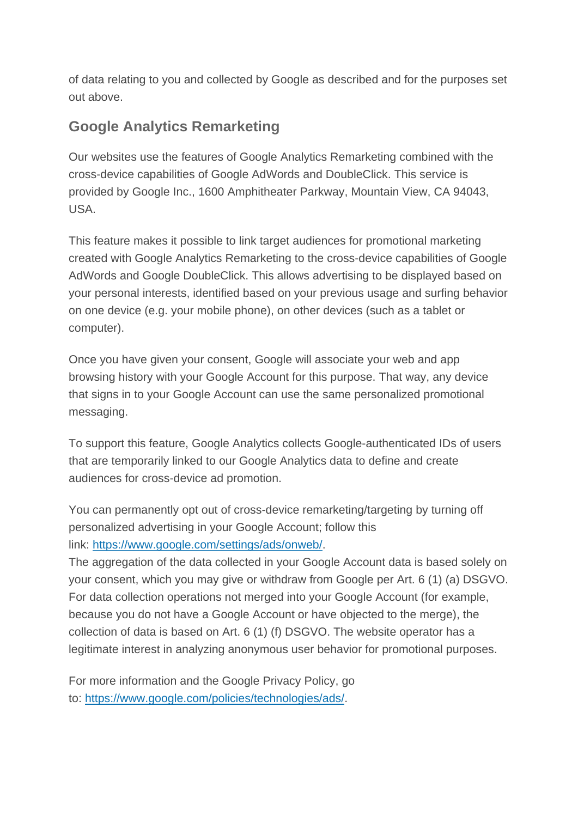of data relating to you and collected by Google as described and for the purposes set out above.

#### **Google Analytics Remarketing**

Our websites use the features of Google Analytics Remarketing combined with the cross-device capabilities of Google AdWords and DoubleClick. This service is provided by Google Inc., 1600 Amphitheater Parkway, Mountain View, CA 94043, USA.

This feature makes it possible to link target audiences for promotional marketing created with Google Analytics Remarketing to the cross-device capabilities of Google AdWords and Google DoubleClick. This allows advertising to be displayed based on your personal interests, identified based on your previous usage and surfing behavior on one device (e.g. your mobile phone), on other devices (such as a tablet or computer).

Once you have given your consent, Google will associate your web and app browsing history with your Google Account for this purpose. That way, any device that signs in to your Google Account can use the same personalized promotional messaging.

To support this feature, Google Analytics collects Google-authenticated IDs of users that are temporarily linked to our Google Analytics data to define and create audiences for cross-device ad promotion.

You can permanently opt out of cross-device remarketing/targeting by turning off personalized advertising in your Google Account; follow this link: https://www.google.com/settings/ads/onweb/.

The aggregation of the data collected in your Google Account data is based solely on your consent, which you may give or withdraw from Google per Art. 6 (1) (a) DSGVO. For data collection operations not merged into your Google Account (for example, because you do not have a Google Account or have objected to the merge), the collection of data is based on Art. 6 (1) (f) DSGVO. The website operator has a legitimate interest in analyzing anonymous user behavior for promotional purposes.

For more information and the Google Privacy Policy, go to: https://www.google.com/policies/technologies/ads/.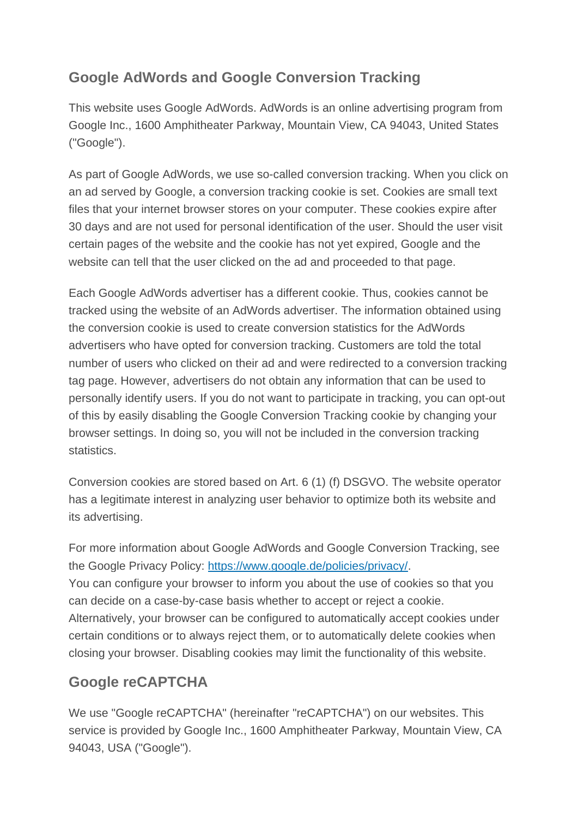### **Google AdWords and Google Conversion Tracking**

This website uses Google AdWords. AdWords is an online advertising program from Google Inc., 1600 Amphitheater Parkway, Mountain View, CA 94043, United States ("Google").

As part of Google AdWords, we use so-called conversion tracking. When you click on an ad served by Google, a conversion tracking cookie is set. Cookies are small text files that your internet browser stores on your computer. These cookies expire after 30 days and are not used for personal identification of the user. Should the user visit certain pages of the website and the cookie has not yet expired, Google and the website can tell that the user clicked on the ad and proceeded to that page.

Each Google AdWords advertiser has a different cookie. Thus, cookies cannot be tracked using the website of an AdWords advertiser. The information obtained using the conversion cookie is used to create conversion statistics for the AdWords advertisers who have opted for conversion tracking. Customers are told the total number of users who clicked on their ad and were redirected to a conversion tracking tag page. However, advertisers do not obtain any information that can be used to personally identify users. If you do not want to participate in tracking, you can opt-out of this by easily disabling the Google Conversion Tracking cookie by changing your browser settings. In doing so, you will not be included in the conversion tracking statistics.

Conversion cookies are stored based on Art. 6 (1) (f) DSGVO. The website operator has a legitimate interest in analyzing user behavior to optimize both its website and its advertising.

For more information about Google AdWords and Google Conversion Tracking, see the Google Privacy Policy: https://www.google.de/policies/privacy/. You can configure your browser to inform you about the use of cookies so that you can decide on a case-by-case basis whether to accept or reject a cookie. Alternatively, your browser can be configured to automatically accept cookies under certain conditions or to always reject them, or to automatically delete cookies when closing your browser. Disabling cookies may limit the functionality of this website.

### **Google reCAPTCHA**

We use "Google reCAPTCHA" (hereinafter "reCAPTCHA") on our websites. This service is provided by Google Inc., 1600 Amphitheater Parkway, Mountain View, CA 94043, USA ("Google").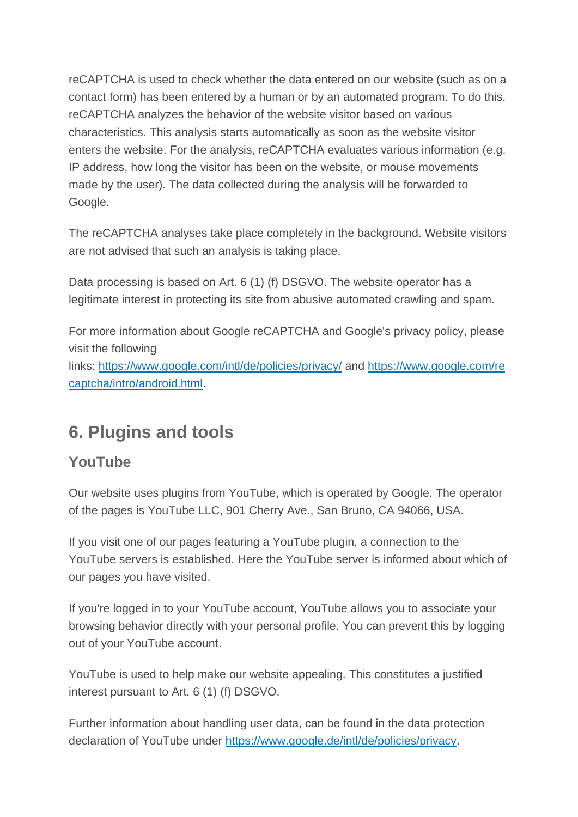reCAPTCHA is used to check whether the data entered on our website (such as on a contact form) has been entered by a human or by an automated program. To do this, reCAPTCHA analyzes the behavior of the website visitor based on various characteristics. This analysis starts automatically as soon as the website visitor enters the website. For the analysis, reCAPTCHA evaluates various information (e.g. IP address, how long the visitor has been on the website, or mouse movements made by the user). The data collected during the analysis will be forwarded to Google.

The reCAPTCHA analyses take place completely in the background. Website visitors are not advised that such an analysis is taking place.

Data processing is based on Art. 6 (1) (f) DSGVO. The website operator has a legitimate interest in protecting its site from abusive automated crawling and spam.

For more information about Google reCAPTCHA and Google's privacy policy, please visit the following links: https://www.google.com/intl/de/policies/privacy/ and https://www.google.com/re captcha/intro/android.html.

## **6. Plugins and tools**

#### **YouTube**

Our website uses plugins from YouTube, which is operated by Google. The operator of the pages is YouTube LLC, 901 Cherry Ave., San Bruno, CA 94066, USA.

If you visit one of our pages featuring a YouTube plugin, a connection to the YouTube servers is established. Here the YouTube server is informed about which of our pages you have visited.

If you're logged in to your YouTube account, YouTube allows you to associate your browsing behavior directly with your personal profile. You can prevent this by logging out of your YouTube account.

YouTube is used to help make our website appealing. This constitutes a justified interest pursuant to Art. 6 (1) (f) DSGVO.

Further information about handling user data, can be found in the data protection declaration of YouTube under https://www.google.de/intl/de/policies/privacy.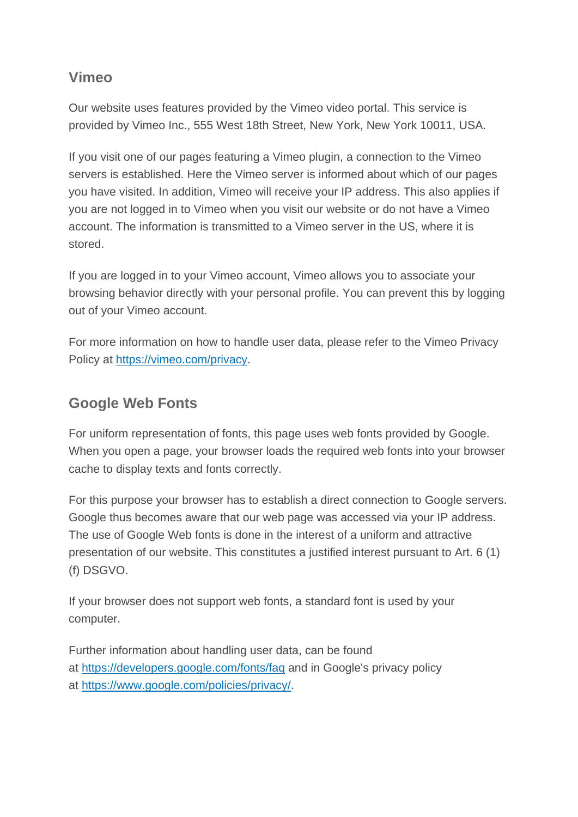#### **Vimeo**

Our website uses features provided by the Vimeo video portal. This service is provided by Vimeo Inc., 555 West 18th Street, New York, New York 10011, USA.

If you visit one of our pages featuring a Vimeo plugin, a connection to the Vimeo servers is established. Here the Vimeo server is informed about which of our pages you have visited. In addition, Vimeo will receive your IP address. This also applies if you are not logged in to Vimeo when you visit our website or do not have a Vimeo account. The information is transmitted to a Vimeo server in the US, where it is stored.

If you are logged in to your Vimeo account, Vimeo allows you to associate your browsing behavior directly with your personal profile. You can prevent this by logging out of your Vimeo account.

For more information on how to handle user data, please refer to the Vimeo Privacy Policy at https://vimeo.com/privacy.

#### **Google Web Fonts**

For uniform representation of fonts, this page uses web fonts provided by Google. When you open a page, your browser loads the required web fonts into your browser cache to display texts and fonts correctly.

For this purpose your browser has to establish a direct connection to Google servers. Google thus becomes aware that our web page was accessed via your IP address. The use of Google Web fonts is done in the interest of a uniform and attractive presentation of our website. This constitutes a justified interest pursuant to Art. 6 (1) (f) DSGVO.

If your browser does not support web fonts, a standard font is used by your computer.

Further information about handling user data, can be found at https://developers.google.com/fonts/faq and in Google's privacy policy at https://www.google.com/policies/privacy/.